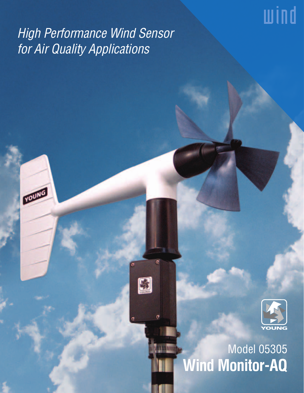# wind

# High Performance Wind Sensor for Air Quality Applications

round



## Model 05305 **UTILIUM Wind Monitor-AQ**

 $\overline{a}$ 

¢